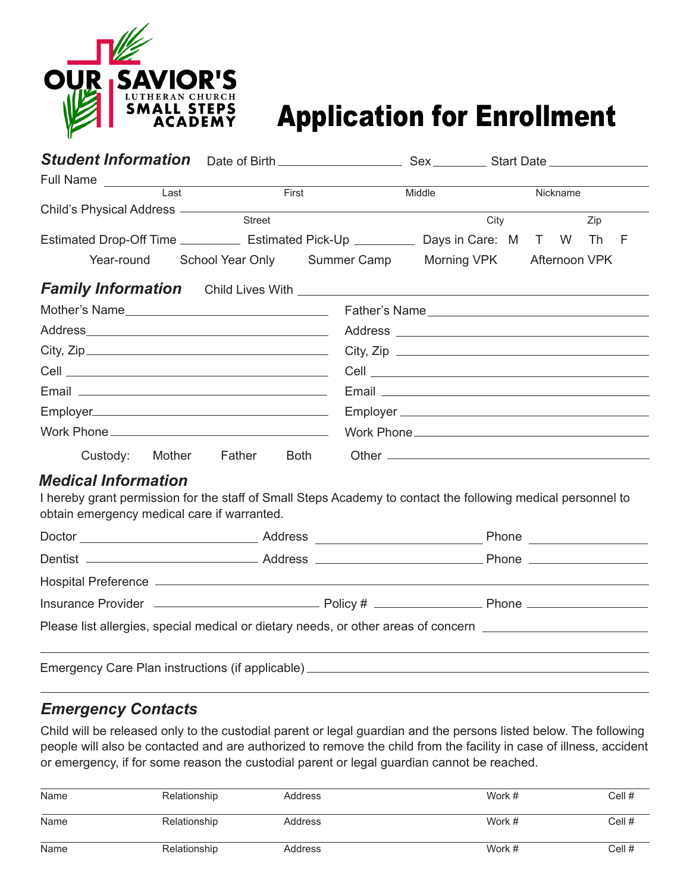

# Application for Enrollment

| Full Name<br>the control of the control of the control of                                                                                                                                 |                                         |        |             |               |
|-------------------------------------------------------------------------------------------------------------------------------------------------------------------------------------------|-----------------------------------------|--------|-------------|---------------|
| $\overline{Last}$                                                                                                                                                                         | First                                   | Middle |             | Nickname      |
| Child's Physical Address _________                                                                                                                                                        | Street                                  |        | City        | Zip           |
| Estimated Drop-Off Time ______________ Estimated Pick-Up _____________ Days in Care: M T W                                                                                                |                                         |        |             | Th F          |
|                                                                                                                                                                                           | Year-round School Year Only Summer Camp |        | Morning VPK | Afternoon VPK |
|                                                                                                                                                                                           |                                         |        |             |               |
| Mother's Name                                                                                                                                                                             |                                         |        |             | Father's Name |
|                                                                                                                                                                                           |                                         |        |             |               |
| City, Zip                                                                                                                                                                                 |                                         |        |             |               |
|                                                                                                                                                                                           |                                         |        |             |               |
|                                                                                                                                                                                           |                                         |        |             |               |
|                                                                                                                                                                                           |                                         |        |             |               |
|                                                                                                                                                                                           |                                         |        |             |               |
| Custody: Mother Father                                                                                                                                                                    | <b>Both</b>                             |        |             |               |
| <b>Medical Information</b><br>I hereby grant permission for the staff of Small Steps Academy to contact the following medical personnel to<br>obtain emergency medical care if warranted. |                                         |        |             |               |
|                                                                                                                                                                                           |                                         |        |             |               |
|                                                                                                                                                                                           |                                         |        |             |               |
|                                                                                                                                                                                           |                                         |        |             |               |
|                                                                                                                                                                                           |                                         |        |             |               |
| Please list allergies, special medical or dietary needs, or other areas of concern ___________________________                                                                            |                                         |        |             |               |
| Emergency Care Plan instructions (if applicable) ________________________________                                                                                                         |                                         |        |             |               |

### *Emergency Contacts*

Child will be released only to the custodial parent or legal guardian and the persons listed below. The following people will also be contacted and are authorized to remove the child from the facility in case of illness, accident or emergency, if for some reason the custodial parent or legal guardian cannot be reached.

| Name | Relationship | Address | Work # | Cell # |
|------|--------------|---------|--------|--------|
| Name | Relationship | Address | Work # | Cell # |
| Name | Relationship | Address | Work # | Cell # |